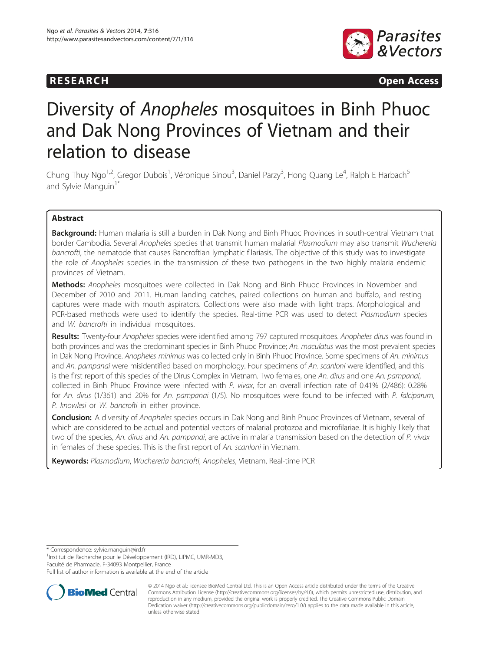



# Diversity of Anopheles mosquitoes in Binh Phuoc and Dak Nong Provinces of Vietnam and their relation to disease

Chung Thuy Ngo<sup>1,2</sup>, Gregor Dubois<sup>1</sup>, Véronique Sinou<sup>3</sup>, Daniel Parzy<sup>3</sup>, Hong Quang Le<sup>4</sup>, Ralph E Harbach<sup>5</sup> and Sylvie Manguin<sup>1\*</sup>

# Abstract

Background: Human malaria is still a burden in Dak Nong and Binh Phuoc Provinces in south-central Vietnam that border Cambodia. Several Anopheles species that transmit human malarial Plasmodium may also transmit Wuchereria bancrofti, the nematode that causes Bancroftian lymphatic filariasis. The objective of this study was to investigate the role of Anopheles species in the transmission of these two pathogens in the two highly malaria endemic provinces of Vietnam.

Methods: Anopheles mosquitoes were collected in Dak Nong and Binh Phuoc Provinces in November and December of 2010 and 2011. Human landing catches, paired collections on human and buffalo, and resting captures were made with mouth aspirators. Collections were also made with light traps. Morphological and PCR-based methods were used to identify the species. Real-time PCR was used to detect Plasmodium species and W. bancrofti in individual mosquitoes.

Results: Twenty-four Anopheles species were identified among 797 captured mosquitoes. Anopheles dirus was found in both provinces and was the predominant species in Binh Phuoc Province; An. maculatus was the most prevalent species in Dak Nong Province. Anopheles minimus was collected only in Binh Phuoc Province. Some specimens of An. minimus and An. pampanai were misidentified based on morphology. Four specimens of An. scanloni were identified, and this is the first report of this species of the Dirus Complex in Vietnam. Two females, one An. dirus and one An. pampanai, collected in Binh Phuoc Province were infected with P. vivax, for an overall infection rate of 0.41% (2/486): 0.28% for An. dirus (1/361) and 20% for An. pampanai (1/5). No mosquitoes were found to be infected with P. falciparum, P. knowlesi or W. bancrofti in either province.

**Conclusion:** A diversity of Anopheles species occurs in Dak Nong and Binh Phuoc Provinces of Vietnam, several of which are considered to be actual and potential vectors of malarial protozoa and microfilariae. It is highly likely that two of the species, An. dirus and An. pampanai, are active in malaria transmission based on the detection of P. vivax in females of these species. This is the first report of An. scanloni in Vietnam.

Keywords: Plasmodium, Wuchereria bancrofti, Anopheles, Vietnam, Real-time PCR

\* Correspondence: [sylvie.manguin@ird.fr](mailto:sylvie.manguin@ird.fr) <sup>1</sup>

<sup>1</sup>Institut de Recherche pour le Développement (IRD), LIPMC, UMR-MD3, Faculté de Pharmacie, F-34093 Montpellier, France

Full list of author information is available at the end of the article



<sup>© 2014</sup> Ngo et al.; licensee BioMed Central Ltd. This is an Open Access article distributed under the terms of the Creative Commons Attribution License [\(http://creativecommons.org/licenses/by/4.0\)](http://creativecommons.org/licenses/by/4.0), which permits unrestricted use, distribution, and reproduction in any medium, provided the original work is properly credited. The Creative Commons Public Domain Dedication waiver [\(http://creativecommons.org/publicdomain/zero/1.0/](http://creativecommons.org/publicdomain/zero/1.0/)) applies to the data made available in this article, unless otherwise stated.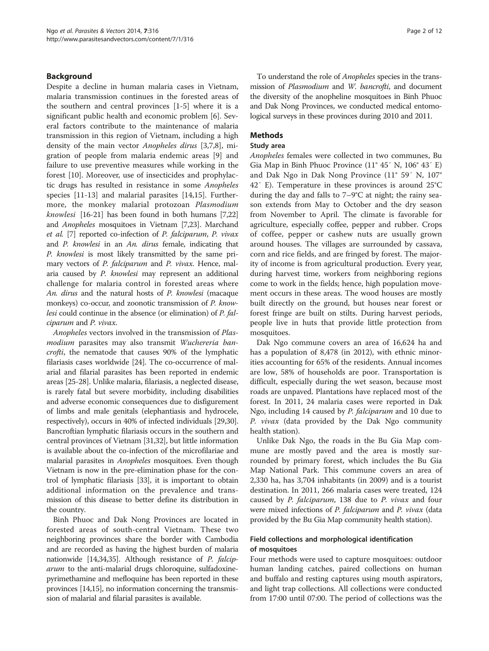## Background

Despite a decline in human malaria cases in Vietnam, malaria transmission continues in the forested areas of the southern and central provinces [\[1](#page-9-0)-[5\]](#page-9-0) where it is a significant public health and economic problem [[6\]](#page-9-0). Several factors contribute to the maintenance of malaria transmission in this region of Vietnam, including a high density of the main vector Anopheles dirus [[3,7,8\]](#page-9-0), migration of people from malaria endemic areas [[9\]](#page-9-0) and failure to use preventive measures while working in the forest [\[10](#page-9-0)]. Moreover, use of insecticides and prophylactic drugs has resulted in resistance in some Anopheles species [\[11](#page-9-0)-[13](#page-9-0)] and malarial parasites [[14,15\]](#page-9-0). Furthermore, the monkey malarial protozoan Plasmodium knowlesi [[16](#page-9-0)-[21](#page-9-0)] has been found in both humans [\[7,22](#page-9-0)] and Anopheles mosquitoes in Vietnam [[7,23](#page-9-0)]. Marchand et al. [[7](#page-9-0)] reported co-infection of P. falciparum, P. vivax and P. knowlesi in an An. dirus female, indicating that P. knowlesi is most likely transmitted by the same primary vectors of *P. falciparum* and *P. vivax*. Hence, malaria caused by P. knowlesi may represent an additional challenge for malaria control in forested areas where An. dirus and the natural hosts of P. knowlesi (macaque monkeys) co-occur, and zoonotic transmission of P. knowlesi could continue in the absence (or elimination) of P. falciparum and P. vivax.

Anopheles vectors involved in the transmission of Plasmodium parasites may also transmit Wuchereria bancrofti, the nematode that causes 90% of the lymphatic filariasis cases worldwide [[24](#page-9-0)]. The co-occurrence of malarial and filarial parasites has been reported in endemic areas [[25](#page-9-0)-[28](#page-9-0)]. Unlike malaria, filariasis, a neglected disease, is rarely fatal but severe morbidity, including disabilities and adverse economic consequences due to disfigurement of limbs and male genitals (elephantiasis and hydrocele, respectively), occurs in 40% of infected individuals [\[29,30](#page-10-0)]. Bancroftian lymphatic filariasis occurs in the southern and central provinces of Vietnam [[31,32\]](#page-10-0), but little information is available about the co-infection of the microfilariae and malarial parasites in Anopheles mosquitoes. Even though Vietnam is now in the pre-elimination phase for the control of lymphatic filariasis [\[33](#page-10-0)], it is important to obtain additional information on the prevalence and transmission of this disease to better define its distribution in the country.

Binh Phuoc and Dak Nong Provinces are located in forested areas of south-central Vietnam. These two neighboring provinces share the border with Cambodia and are recorded as having the highest burden of malaria nationwide [\[14](#page-9-0)[,34,35\]](#page-10-0). Although resistance of P. falciparum to the anti-malarial drugs chloroquine, sulfadoxinepyrimethamine and mefloquine has been reported in these provinces [\[14,15](#page-9-0)], no information concerning the transmission of malarial and filarial parasites is available.

To understand the role of Anopheles species in the transmission of Plasmodium and W. bancrofti, and document the diversity of the anopheline mosquitoes in Binh Phuoc and Dak Nong Provinces, we conducted medical entomological surveys in these provinces during 2010 and 2011.

# Methods

#### Study area

Anopheles females were collected in two communes, Bu Gia Map in Binh Phuoc Province (11° 45′ N, 106° 43′ E) and Dak Ngo in Dak Nong Province (11° 59′ N, 107° 42′ E). Temperature in these provinces is around 25°C during the day and falls to 7–9°C at night; the rainy season extends from May to October and the dry season from November to April. The climate is favorable for agriculture, especially coffee, pepper and rubber. Crops of coffee, pepper or cashew nuts are usually grown around houses. The villages are surrounded by cassava, corn and rice fields, and are fringed by forest. The majority of income is from agricultural production. Every year, during harvest time, workers from neighboring regions come to work in the fields; hence, high population movement occurs in these areas. The wood houses are mostly built directly on the ground, but houses near forest or forest fringe are built on stilts. During harvest periods, people live in huts that provide little protection from mosquitoes.

Dak Ngo commune covers an area of 16,624 ha and has a population of 8,478 (in 2012), with ethnic minorities accounting for 65% of the residents. Annual incomes are low, 58% of households are poor. Transportation is difficult, especially during the wet season, because most roads are unpaved. Plantations have replaced most of the forest. In 2011, 24 malaria cases were reported in Dak Ngo, including 14 caused by P. falciparum and 10 due to P. vivax (data provided by the Dak Ngo community health station).

Unlike Dak Ngo, the roads in the Bu Gia Map commune are mostly paved and the area is mostly surrounded by primary forest, which includes the Bu Gia Map National Park. This commune covers an area of 2,330 ha, has 3,704 inhabitants (in 2009) and is a tourist destination. In 2011, 266 malaria cases were treated, 124 caused by P. falciparum, 138 due to P. vivax and four were mixed infections of *P. falciparum* and *P. vivax* (data provided by the Bu Gia Map community health station).

# Field collections and morphological identification of mosquitoes

Four methods were used to capture mosquitoes: outdoor human landing catches, paired collections on human and buffalo and resting captures using mouth aspirators, and light trap collections. All collections were conducted from 17:00 until 07:00. The period of collections was the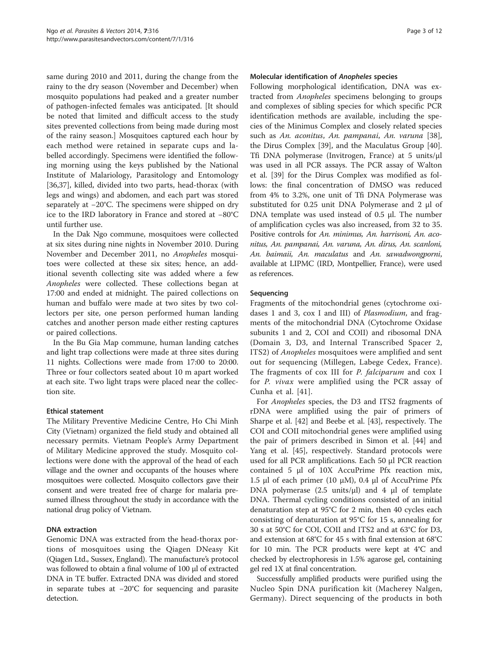same during 2010 and 2011, during the change from the rainy to the dry season (November and December) when mosquito populations had peaked and a greater number of pathogen-infected females was anticipated. [It should be noted that limited and difficult access to the study sites prevented collections from being made during most of the rainy season.] Mosquitoes captured each hour by each method were retained in separate cups and labelled accordingly. Specimens were identified the following morning using the keys published by the National Institute of Malariology, Parasitology and Entomology [[36,37\]](#page-10-0), killed, divided into two parts, head-thorax (with legs and wings) and abdomen, and each part was stored separately at −20°C. The specimens were shipped on dry ice to the IRD laboratory in France and stored at −80°C until further use.

In the Dak Ngo commune, mosquitoes were collected at six sites during nine nights in November 2010. During November and December 2011, no Anopheles mosquitoes were collected at these six sites; hence, an additional seventh collecting site was added where a few Anopheles were collected. These collections began at 17:00 and ended at midnight. The paired collections on human and buffalo were made at two sites by two collectors per site, one person performed human landing catches and another person made either resting captures or paired collections.

In the Bu Gia Map commune, human landing catches and light trap collections were made at three sites during 11 nights. Collections were made from 17:00 to 20:00. Three or four collectors seated about 10 m apart worked at each site. Two light traps were placed near the collection site.

## Ethical statement

The Military Preventive Medicine Centre, Ho Chi Minh City (Vietnam) organized the field study and obtained all necessary permits. Vietnam People's Army Department of Military Medicine approved the study. Mosquito collections were done with the approval of the head of each village and the owner and occupants of the houses where mosquitoes were collected. Mosquito collectors gave their consent and were treated free of charge for malaria presumed illness throughout the study in accordance with the national drug policy of Vietnam.

# DNA extraction

Genomic DNA was extracted from the head-thorax portions of mosquitoes using the Qiagen DNeasy Kit (Qiagen Ltd., Sussex, England). The manufacture's protocol was followed to obtain a final volume of 100 μl of extracted DNA in TE buffer. Extracted DNA was divided and stored in separate tubes at −20°C for sequencing and parasite detection.

# Molecular identification of Anopheles species

Following morphological identification, DNA was extracted from Anopheles specimens belonging to groups and complexes of sibling species for which specific PCR identification methods are available, including the species of the Minimus Complex and closely related species such as An. aconitus, An. pampanai, An. varuna [\[38](#page-10-0)], the Dirus Complex [[39\]](#page-10-0), and the Maculatus Group [\[40](#page-10-0)]. Tfi DNA polymerase (Invitrogen, France) at 5 units/μl was used in all PCR assays. The PCR assay of Walton et al. [\[39](#page-10-0)] for the Dirus Complex was modified as follows: the final concentration of DMSO was reduced from 4% to 3.2%, one unit of Tfi DNA Polymerase was substituted for 0.25 unit DNA Polymerase and 2 μl of DNA template was used instead of 0.5 μl. The number of amplification cycles was also increased, from 32 to 35. Positive controls for An. minimus, An. harrisoni, An. aconitus, An. pampanai, An. varuna, An. dirus, An. scanloni, An. baimaii, An. maculatus and An. sawadwongporni, available at LIPMC (IRD, Montpellier, France), were used as references.

# Sequencing

Fragments of the mitochondrial genes (cytochrome oxidases 1 and 3, cox I and III) of Plasmodium, and fragments of the mitochondrial DNA (Cytochrome Oxidase subunits 1 and 2, COI and COII) and ribosomal DNA (Domain 3, D3, and Internal Transcribed Spacer 2, ITS2) of Anopheles mosquitoes were amplified and sent out for sequencing (Millegen, Labege Cedex, France). The fragments of cox III for P. falciparum and cox I for P. vivax were amplified using the PCR assay of Cunha et al. [[41](#page-10-0)].

For Anopheles species, the D3 and ITS2 fragments of rDNA were amplified using the pair of primers of Sharpe et al. [\[42](#page-10-0)] and Beebe et al. [[43\]](#page-10-0), respectively. The COI and COII mitochondrial genes were amplified using the pair of primers described in Simon et al. [\[44\]](#page-10-0) and Yang et al. [[45](#page-10-0)], respectively. Standard protocols were used for all PCR amplifications. Each 50 μl PCR reaction contained 5 μl of 10X AccuPrime Pfx reaction mix, 1.5 μl of each primer (10 μM), 0.4 μl of AccuPrime Pfx DNA polymerase  $(2.5 \text{ units/}\mu l)$  and 4  $\mu l$  of template DNA. Thermal cycling conditions consisted of an initial denaturation step at 95°C for 2 min, then 40 cycles each consisting of denaturation at 95°C for 15 s, annealing for 30 s at 50°C for COI, COII and ITS2 and at 63°C for D3, and extension at 68°C for 45 s with final extension at 68°C for 10 min. The PCR products were kept at 4°C and checked by electrophoresis in 1.5% agarose gel, containing gel red 1X at final concentration.

Successfully amplified products were purified using the Nucleo Spin DNA purification kit (Macherey Nalgen, Germany). Direct sequencing of the products in both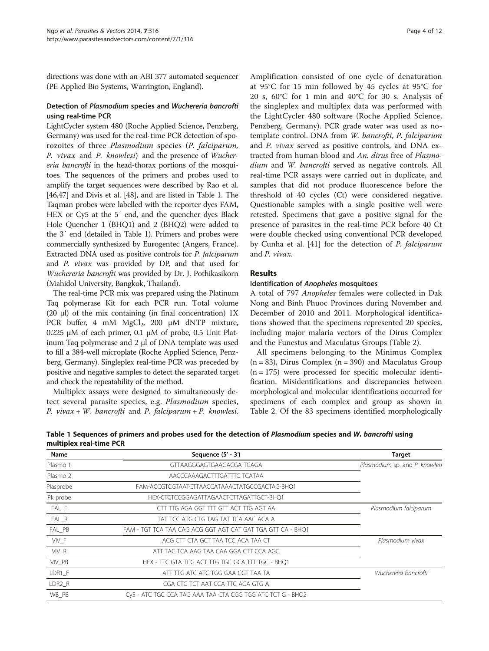directions was done with an ABI 377 automated sequencer (PE Applied Bio Systems, Warrington, England).

# Detection of Plasmodium species and Wuchereria bancrofti using real-time PCR

LightCycler system 480 (Roche Applied Science, Penzberg, Germany) was used for the real-time PCR detection of sporozoites of three Plasmodium species (P. falciparum, P. vivax and P. knowlesi) and the presence of Wuchereria bancrofti in the head-thorax portions of the mosquitoes. The sequences of the primers and probes used to amplify the target sequences were described by Rao et al. [[46,47\]](#page-10-0) and Divis et al. [[48](#page-10-0)], and are listed in Table 1. The Taqman probes were labelled with the reporter dyes FAM, HEX or Cy5 at the 5′ end, and the quencher dyes Black Hole Quencher 1 (BHQ1) and 2 (BHQ2) were added to the 3′ end (detailed in Table 1). Primers and probes were commercially synthesized by Eurogentec (Angers, France). Extracted DNA used as positive controls for P. falciparum and P. vivax was provided by DP, and that used for Wuchereria bancrofti was provided by Dr. J. Pothikasikorn (Mahidol University, Bangkok, Thailand).

The real-time PCR mix was prepared using the Platinum Taq polymerase Kit for each PCR run. Total volume (20 μl) of the mix containing (in final concentration) 1X PCR buffer, 4 mM  $MgCl<sub>2</sub>$ , 200 μM dNTP mixture, 0.225 μM of each primer, 0.1 μM of probe, 0.5 Unit Platinum Taq polymerase and 2 μl of DNA template was used to fill a 384-well microplate (Roche Applied Science, Penzberg, Germany). Singleplex real-time PCR was preceded by positive and negative samples to detect the separated target and check the repeatability of the method.

Multiplex assays were designed to simultaneously detect several parasite species, e.g. Plasmodium species, P. viva $x + W$ . bancrofti and P. falciparum + P. knowlesi.

Amplification consisted of one cycle of denaturation at 95°C for 15 min followed by 45 cycles at 95°C for 20 s, 60°C for 1 min and 40°C for 30 s. Analysis of the singleplex and multiplex data was performed with the LightCycler 480 software (Roche Applied Science, Penzberg, Germany). PCR grade water was used as notemplate control. DNA from W. bancrofti, P. falciparum and P. vivax served as positive controls, and DNA extracted from human blood and An. dirus free of Plasmodium and W. bancrofti served as negative controls. All real-time PCR assays were carried out in duplicate, and samples that did not produce fluorescence before the threshold of 40 cycles (Ct) were considered negative. Questionable samples with a single positive well were retested. Specimens that gave a positive signal for the presence of parasites in the real-time PCR before 40 Ct were double checked using conventional PCR developed by Cunha et al. [[41\]](#page-10-0) for the detection of P. falciparum and P. vivax.

# Results

## Identification of Anopheles mosquitoes

A total of 797 Anopheles females were collected in Dak Nong and Binh Phuoc Provinces during November and December of 2010 and 2011. Morphological identifications showed that the specimens represented 20 species, including major malaria vectors of the Dirus Complex and the Funestus and Maculatus Groups (Table [2\)](#page-4-0).

All specimens belonging to the Minimus Complex  $(n = 83)$ , Dirus Complex  $(n = 390)$  and Maculatus Group  $(n = 175)$  were processed for specific molecular identification. Misidentifications and discrepancies between morphological and molecular identifications occurred for specimens of each complex and group as shown in Table [2](#page-4-0). Of the 83 specimens identified morphologically

| Name      | Sequence (5' - 3')                                          | <b>Target</b>                  |
|-----------|-------------------------------------------------------------|--------------------------------|
| Plasmo 1  | GTTAAGGGAGTGAAGACGA TCAGA                                   | Plasmodium sp. and P. knowlesi |
| Plasmo 2  | AACCCAAAGACTTTGATTTC TCATAA                                 |                                |
| Plasprobe | FAM-ACCGTCGTAATCTTAACCATAAACTATGCCGACTAG-BHQ1               |                                |
| Pk probe  | HEX-CTCTCCGGAGATTAGAACTCTTAGATTGCT-BHQ1                     |                                |
| FAL_F     | CTT TTG AGA GGT TTT GTT ACT TTG AGT AA                      | Plasmodium falciparum          |
| $FAL_R$   | TAT TCC ATG CTG TAG TAT TCA AAC ACA A                       |                                |
| FAL_PB    | FAM - TGT TCA TAA CAG ACG GGT AGT CAT GAT TGA GTT CA - BHQ1 |                                |
| VIV_F     | ACG CTT CTA GCT TAA TCC ACA TAA CT                          | Plasmodium vivax               |
| VIV_R     | ATT TAC TCA AAG TAA CAA GGA CTT CCA AGC                     |                                |
| VIV PB    | HEX - TTC GTA TCG ACT TTG TGC GCA TTT TGC - BHQ1            |                                |
| LDR1 F    | ATT TTG ATC ATC TGG GAA CGT TAA TA                          | Wuchereria bancrofti           |
| LDR2 R    | CGA CTG TCT AAT CCA TTC AGA GTG A                           |                                |
| WB PB     | Cy5 - ATC TGC CCA TAG AAA TAA CTA CGG TGG ATC TCT G - BHQ2  |                                |
|           |                                                             |                                |

Table 1 Sequences of primers and probes used for the detection of Plasmodium species and W. bancrofti using multiplex real-time PCR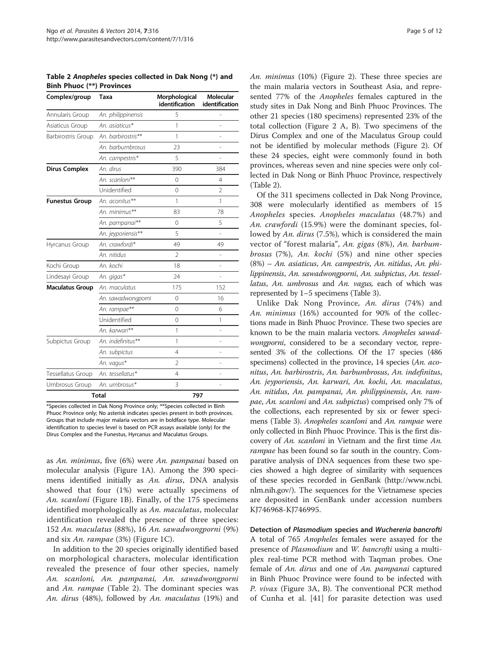<span id="page-4-0"></span>Table 2 Anopheles species collected in Dak Nong (\*) and Binh Phuoc (\*\*) Provinces

| Complex/group          | Taxa               | Morphological<br>identification | <b>Molecular</b><br>identification |
|------------------------|--------------------|---------------------------------|------------------------------------|
| Annularis Group        | An. philippinensis | 5                               |                                    |
| Asiaticus Group        | An. asiaticus*     | 1                               | L                                  |
| Barbirostris Group     | An. barbirostris** | 1                               |                                    |
|                        | An. barbumbrosus   | 23                              |                                    |
|                        | An. campestris*    | 5                               | i.                                 |
| <b>Dirus Complex</b>   | An. dirus          | 390                             | 384                                |
|                        | An. scanloni**     | 0                               | 4                                  |
|                        | Unidentified       | 0                               | $\overline{2}$                     |
| <b>Funestus Group</b>  | An. aconitus**     | 1                               | 1                                  |
|                        | An. minimus**      | 83                              | 78                                 |
|                        | An. pampanai**     | 0                               | 5                                  |
|                        | An. jeyporiensis** | 5                               | L,                                 |
| Hyrcanus Group         | An. crawfordi*     | 49                              | 49                                 |
|                        | An. nitidus        | $\overline{2}$                  |                                    |
| Kochi Group            | An. kochi          | 18                              | $\overline{a}$                     |
| Lindesayi Group        | An. gigas*         | 24                              |                                    |
| <b>Maculatus Group</b> | An. maculatus      | 175                             | 152                                |
|                        | An. sawadwongporni | $\mathbf 0$                     | 16                                 |
|                        | An. rampae**       | 0                               | 6                                  |
|                        | Unidentified       | 0                               | 1                                  |
|                        | An. karwari**      | 1                               | L,                                 |
| Subpictus Group        | An. indefinitus**  | 1                               | L                                  |
|                        | An. subpictus      | 4                               | ÷                                  |
|                        | An. vagus*         | $\overline{2}$                  | Ĭ.                                 |
| Tessellatus Group      | An. tessellatus*   | 4                               | Ĭ.                                 |
| Umbrosus Group         | An. umbrosus*      | 3                               |                                    |
|                        | <b>Total</b>       | 797                             |                                    |

\*Species collected in Dak Nong Province only; \*\*Species collected in Binh Phuoc Province only; No asterisk indicates species present in both provinces. Groups that include major malaria vectors are in boldface type. Molecular identification to species level is based on PCR assays available (only) for the Dirus Complex and the Funestus, Hyrcanus and Maculatus Groups.

as An. minimus, five (6%) were An. pampanai based on molecular analysis (Figure [1A](#page-5-0)). Among the 390 specimens identified initially as An. dirus, DNA analysis showed that four (1%) were actually specimens of An. scanloni (Figure [1](#page-5-0)B). Finally, of the 175 specimens identified morphologically as An. maculatus, molecular identification revealed the presence of three species: 152 An. maculatus (88%), 16 An. sawadwongporni (9%) and six An. rampae (3%) (Figure [1](#page-5-0)C).

In addition to the 20 species originally identified based on morphological characters, molecular identification revealed the presence of four other species, namely An. scanloni, An. pampanai, An. sawadwongporni and An. rampae (Table 2). The dominant species was An. dirus (48%), followed by An. maculatus (19%) and An. minimus (10%) (Figure [2](#page-5-0)). These three species are the main malaria vectors in Southeast Asia, and represented 77% of the Anopheles females captured in the study sites in Dak Nong and Binh Phuoc Provinces. The other 21 species (180 specimens) represented 23% of the total collection (Figure [2](#page-5-0) A, B). Two specimens of the Dirus Complex and one of the Maculatus Group could not be identified by molecular methods (Figure [2](#page-5-0)). Of these 24 species, eight were commonly found in both provinces, whereas seven and nine species were only collected in Dak Nong or Binh Phuoc Province, respectively (Table 2).

Of the 311 specimens collected in Dak Nong Province, 308 were molecularly identified as members of 15 Anopheles species. Anopheles maculatus (48.7%) and An. crawfordi (15.9%) were the dominant species, followed by An. dirus (7.5%), which is considered the main vector of "forest malaria", An. gigas (8%), An. barbumbrosus (7%), An. kochi (5%) and nine other species (8%) – An. asiaticus, An. campestris, An. nitidus, An. philippinensis, An. sawadwongporni, An. subpictus, An. tessellatus, An. umbrosus and An. vagus, each of which was represented by 1–5 specimens (Table [3\)](#page-6-0).

Unlike Dak Nong Province, An. dirus (74%) and An. minimus (16%) accounted for 90% of the collections made in Binh Phuoc Province. These two species are known to be the main malaria vectors. Anopheles sawadwongporni, considered to be a secondary vector, represented 3% of the collections. Of the 17 species (486 specimens) collected in the province, 14 species (An. aconitus, An. barbirostris, An. barbumbrosus, An. indefinitus, An. jeyporiensis, An. karwari, An. kochi, An. maculatus, An. nitidus, An. pampanai, An. philippinensis, An. rampae, An. scanloni and An. subpictus) comprised only 7% of the collections, each represented by six or fewer specimens (Table [3](#page-6-0)). Anopheles scanloni and An. rampae were only collected in Binh Phuoc Province. This is the first discovery of An. scanloni in Vietnam and the first time An. rampae has been found so far south in the country. Comparative analysis of DNA sequences from these two species showed a high degree of similarity with sequences of these species recorded in GenBank ([http://www.ncbi.](http://www.ncbi.nlm.nih.gov/) [nlm.nih.gov/](http://www.ncbi.nlm.nih.gov/)). The sequences for the Vietnamese species are deposited in GenBank under accession numbers KJ746968-KJ746995.

Detection of Plasmodium species and Wuchereria bancrofti A total of 765 Anopheles females were assayed for the presence of Plasmodium and W. bancrofti using a multiplex real-time PCR method with Taqman probes. One female of An. dirus and one of An. pampanai captured in Binh Phuoc Province were found to be infected with P. vivax (Figure [3A](#page-7-0), B). The conventional PCR method of Cunha et al. [\[41](#page-10-0)] for parasite detection was used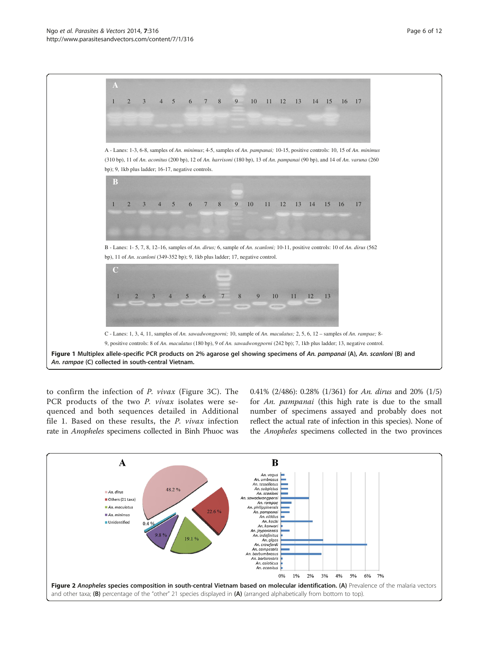<span id="page-5-0"></span>

to confirm the infection of P. vivax (Figure [3](#page-7-0)C). The PCR products of the two *P. vivax* isolates were sequenced and both sequences detailed in Additional file [1.](#page-9-0) Based on these results, the P. vivax infection rate in Anopheles specimens collected in Binh Phuoc was

0.41% (2/486): 0.28% (1/361) for An. dirus and 20% (1/5) for An. pampanai (this high rate is due to the small number of specimens assayed and probably does not reflect the actual rate of infection in this species). None of the Anopheles specimens collected in the two provinces

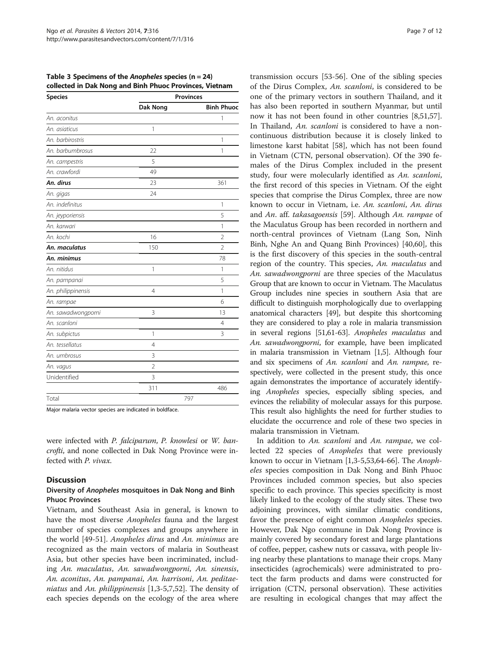<span id="page-6-0"></span>Table 3 Specimens of the Anopheles species ( $n = 24$ ) collected in Dak Nong and Binh Phuoc Provinces, Vietnam

| <b>Species</b>     | <b>Provinces</b> |                   |  |
|--------------------|------------------|-------------------|--|
|                    | <b>Dak Nong</b>  | <b>Binh Phuoc</b> |  |
| An. aconitus       |                  | 1                 |  |
| An. asiaticus      | 1                |                   |  |
| An, barbirostris   |                  | 1                 |  |
| An. barbumbrosus   | 22               | 1                 |  |
| An. campestris     | 5                |                   |  |
| An. crawfordi      | 49               |                   |  |
| An. dirus          | 23               | 361               |  |
| An. gigas          | 24               |                   |  |
| An. indefinitus    |                  | $\mathbf{1}$      |  |
| An. jeyporiensis   |                  | 5                 |  |
| An, karwari        |                  | $\mathbf{1}$      |  |
| An. kochi          | 16               | $\overline{2}$    |  |
| An. maculatus      | 150              | $\overline{2}$    |  |
| An. minimus        |                  | 78                |  |
| An. nitidus        | 1                | 1                 |  |
| An. pampanai       |                  | 5                 |  |
| An. philippinensis | 4                | 1                 |  |
| An. rampae         |                  | 6                 |  |
| An. sawadwongporni | 3                | 13                |  |
| An. scanloni       |                  | 4                 |  |
| An. subpictus      | 1                | 3                 |  |
| An. tessellatus    | 4                |                   |  |
| An. umbrosus       | 3                |                   |  |
| An. vagus          | $\overline{2}$   |                   |  |
| Unidentified       | 3                |                   |  |
|                    | 311              | 486               |  |
| Total              |                  | 797               |  |

Major malaria vector species are indicated in boldface.

were infected with P. falciparum, P. knowlesi or W. bancrofti, and none collected in Dak Nong Province were infected with P. vivax.

### **Discussion**

## Diversity of Anopheles mosquitoes in Dak Nong and Binh Phuoc Provinces

Vietnam, and Southeast Asia in general, is known to have the most diverse *Anopheles* fauna and the largest number of species complexes and groups anywhere in the world [[49-51](#page-10-0)]. Anopheles dirus and An. minimus are recognized as the main vectors of malaria in Southeast Asia, but other species have been incriminated, including An. maculatus, An. sawadwongporni, An. sinensis, An. aconitus, An. pampanai, An. harrisoni, An. peditaeniatus and An. philippinensis [\[1,3](#page-9-0)-[5,7,](#page-9-0)[52\]](#page-10-0). The density of each species depends on the ecology of the area where transmission occurs [[53-56](#page-10-0)]. One of the sibling species of the Dirus Complex, An. scanloni, is considered to be one of the primary vectors in southern Thailand, and it has also been reported in southern Myanmar, but until now it has not been found in other countries [\[8](#page-9-0)[,51,57](#page-10-0)]. In Thailand, An. scanloni is considered to have a noncontinuous distribution because it is closely linked to limestone karst habitat [[58\]](#page-10-0), which has not been found in Vietnam (CTN, personal observation). Of the 390 females of the Dirus Complex included in the present study, four were molecularly identified as An. scanloni, the first record of this species in Vietnam. Of the eight species that comprise the Dirus Complex, three are now known to occur in Vietnam, i.e. An. scanloni, An. dirus and An. aff. takasagoensis [[59\]](#page-10-0). Although An. rampae of the Maculatus Group has been recorded in northern and north-central provinces of Vietnam (Lang Son, Ninh Binh, Nghe An and Quang Binh Provinces) [\[40,60\]](#page-10-0), this is the first discovery of this species in the south-central region of the country. This species, An. maculatus and An. sawadwongporni are three species of the Maculatus Group that are known to occur in Vietnam. The Maculatus Group includes nine species in southern Asia that are difficult to distinguish morphologically due to overlapping anatomical characters [\[49\]](#page-10-0), but despite this shortcoming they are considered to play a role in malaria transmission in several regions [\[51,61](#page-10-0)-[63](#page-10-0)]. Anopheles maculatus and An. sawadwongporni, for example, have been implicated in malaria transmission in Vietnam [\[1,5\]](#page-9-0). Although four and six specimens of An. scanloni and An. rampae, respectively, were collected in the present study, this once again demonstrates the importance of accurately identifying Anopheles species, especially sibling species, and evinces the reliability of molecular assays for this purpose. This result also highlights the need for further studies to elucidate the occurrence and role of these two species in malaria transmission in Vietnam.

In addition to An. scanloni and An. rampae, we collected 22 species of Anopheles that were previously known to occur in Vietnam [[1,3-5](#page-9-0)[,53,64-66](#page-10-0)]. The Anopheles species composition in Dak Nong and Binh Phuoc Provinces included common species, but also species specific to each province. This species specificity is most likely linked to the ecology of the study sites. These two adjoining provinces, with similar climatic conditions, favor the presence of eight common Anopheles species. However, Dak Ngo commune in Dak Nong Province is mainly covered by secondary forest and large plantations of coffee, pepper, cashew nuts or cassava, with people living nearby these plantations to manage their crops. Many insecticides (agrochemicals) were administrated to protect the farm products and dams were constructed for irrigation (CTN, personal observation). These activities are resulting in ecological changes that may affect the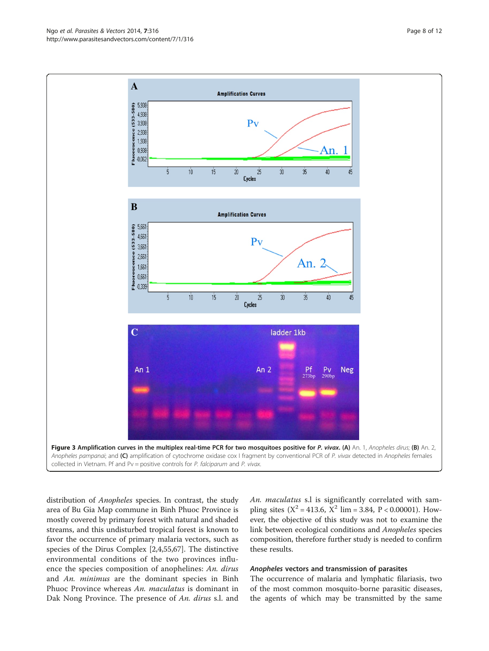distribution of *Anopheles* species. In contrast, the study area of Bu Gia Map commune in Binh Phuoc Province is mostly covered by primary forest with natural and shaded streams, and this undisturbed tropical forest is known to favor the occurrence of primary malaria vectors, such as species of the Dirus Complex [\[2,4](#page-9-0)[,55,67\]](#page-10-0). The distinctive environmental conditions of the two provinces influence the species composition of anophelines: An. dirus and An. minimus are the dominant species in Binh Phuoc Province whereas An. maculatus is dominant in Dak Nong Province. The presence of An. dirus s.l. and

An. maculatus s.l is significantly correlated with sampling sites ( $X^2 = 413.6$ ,  $X^2$  lim = 3.84, P < 0.00001). However, the objective of this study was not to examine the link between ecological conditions and Anopheles species composition, therefore further study is needed to confirm these results.

# Anopheles vectors and transmission of parasites

The occurrence of malaria and lymphatic filariasis, two of the most common mosquito-borne parasitic diseases, the agents of which may be transmitted by the same

<span id="page-7-0"></span>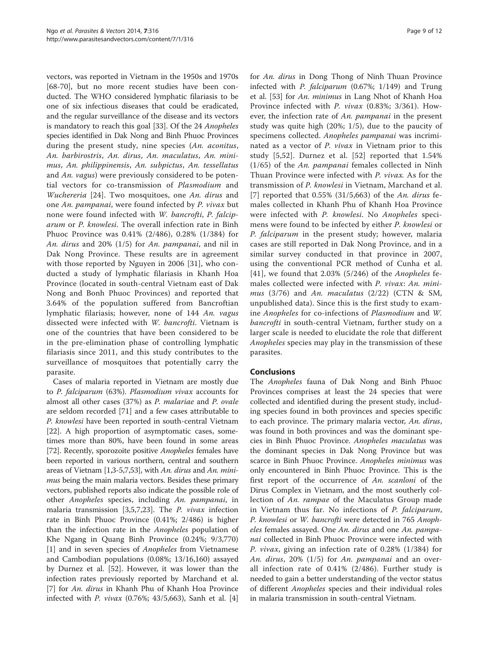vectors, was reported in Vietnam in the 1950s and 1970s [[68-70](#page-10-0)], but no more recent studies have been conducted. The WHO considered lymphatic filariasis to be one of six infectious diseases that could be eradicated, and the regular surveillance of the disease and its vectors is mandatory to reach this goal [\[33](#page-10-0)]. Of the 24 Anopheles species identified in Dak Nong and Binh Phuoc Provinces during the present study, nine species (An. aconitus, An. barbirostris, An. dirus, An. maculatus, An. minimus, An. philippinensis, An. subpictus, An. tessellatus and An. vagus) were previously considered to be potential vectors for co-transmission of Plasmodium and Wuchereria [\[24](#page-9-0)]. Two mosquitoes, one An. dirus and one An. pampanai, were found infected by P. vivax but none were found infected with W. bancrofti, P. falciparum or P. knowlesi. The overall infection rate in Binh Phuoc Province was 0.41% (2/486), 0.28% (1/384) for An. dirus and 20% (1/5) for An. pampanai, and nil in Dak Nong Province. These results are in agreement with those reported by Nguyen in 2006 [\[31\]](#page-10-0), who conducted a study of lymphatic filariasis in Khanh Hoa Province (located in south-central Vietnam east of Dak Nong and Bonh Phuoc Provinces) and reported that 3.64% of the population suffered from Bancroftian lymphatic filariasis; however, none of 144 An. vagus dissected were infected with W. bancrofti. Vietnam is one of the countries that have been considered to be in the pre-elimination phase of controlling lymphatic filariasis since 2011, and this study contributes to the surveillance of mosquitoes that potentially carry the parasite.

Cases of malaria reported in Vietnam are mostly due to P. falciparum (63%). Plasmodium vivax accounts for almost all other cases (37%) as P. malariae and P. ovale are seldom recorded [[71\]](#page-11-0) and a few cases attributable to P. knowlesi have been reported in south-central Vietnam [[22\]](#page-9-0). A high proportion of asymptomatic cases, sometimes more than 80%, have been found in some areas [[72](#page-11-0)]. Recently, sporozoite positive Anopheles females have been reported in various northern, central and southern areas of Vietnam [[1,3-5,7,](#page-9-0)[53](#page-10-0)], with An. dirus and An. minimus being the main malaria vectors. Besides these primary vectors, published reports also indicate the possible role of other Anopheles species, including An. pampanai, in malaria transmission [\[3,5,7,23](#page-9-0)]. The *P. vivax* infection rate in Binh Phuoc Province (0.41%; 2/486) is higher than the infection rate in the Anopheles population of Khe Ngang in Quang Binh Province (0.24%; 9/3,770) [[1\]](#page-9-0) and in seven species of Anopheles from Vietnamese and Cambodian populations (0.08%; 13/16,160) assayed by Durnez et al. [[52\]](#page-10-0). However, it was lower than the infection rates previously reported by Marchand et al. [[7\]](#page-9-0) for An. dirus in Khanh Phu of Khanh Hoa Province infected with P. vivax (0.76%; 43/5,663), Sanh et al. [\[4](#page-9-0)]

for An. dirus in Dong Thong of Ninh Thuan Province infected with P. falciparum (0.67%; 1/149) and Trung et al. [[53](#page-10-0)] for An. minimus in Lang Nhot of Khanh Hoa Province infected with P. vivax (0.83%; 3/361). However, the infection rate of An. pampanai in the present study was quite high (20%; 1/5), due to the paucity of specimens collected. Anopheles pampanai was incriminated as a vector of P. vivax in Vietnam prior to this study [[5](#page-9-0)[,52](#page-10-0)]. Durnez et al. [\[52](#page-10-0)] reported that 1.54% (1/65) of the An. pampanai females collected in Ninh Thuan Province were infected with P. vivax. As for the transmission of P. knowlesi in Vietnam, Marchand et al. [[7](#page-9-0)] reported that  $0.55\%$  (31/5,663) of the An. dirus females collected in Khanh Phu of Khanh Hoa Province were infected with P. knowlesi. No Anopheles specimens were found to be infected by either P. knowlesi or P. falciparum in the present study; however, malaria cases are still reported in Dak Nong Province, and in a similar survey conducted in that province in 2007, using the conventional PCR method of Cunha et al. [[41](#page-10-0)], we found that  $2.03\%$  (5/246) of the Anopheles females collected were infected with P. vivax: An. minimus  $(3/76)$  and An. maculatus  $(2/22)$  (CTN & SM, unpublished data). Since this is the first study to examine Anopheles for co-infections of Plasmodium and W. bancrofti in south-central Vietnam, further study on a larger scale is needed to elucidate the role that different Anopheles species may play in the transmission of these parasites.

# Conclusions

The Anopheles fauna of Dak Nong and Binh Phuoc Provinces comprises at least the 24 species that were collected and identified during the present study, including species found in both provinces and species specific to each province. The primary malaria vector, An. dirus, was found in both provinces and was the dominant species in Binh Phuoc Province. Anopheles maculatus was the dominant species in Dak Nong Province but was scarce in Binh Phuoc Province. Anopheles minimus was only encountered in Binh Phuoc Province. This is the first report of the occurrence of An. scanloni of the Dirus Complex in Vietnam, and the most southerly collection of An. rampae of the Maculatus Group made in Vietnam thus far. No infections of P. falciparum, P. knowlesi or W. bancrofti were detected in 765 Anopheles females assayed. One An. dirus and one An. pampanai collected in Binh Phuoc Province were infected with P. vivax, giving an infection rate of 0.28% (1/384) for An. dirus,  $20\%$  (1/5) for An. pampanai and an overall infection rate of 0.41% (2/486). Further study is needed to gain a better understanding of the vector status of different Anopheles species and their individual roles in malaria transmission in south-central Vietnam.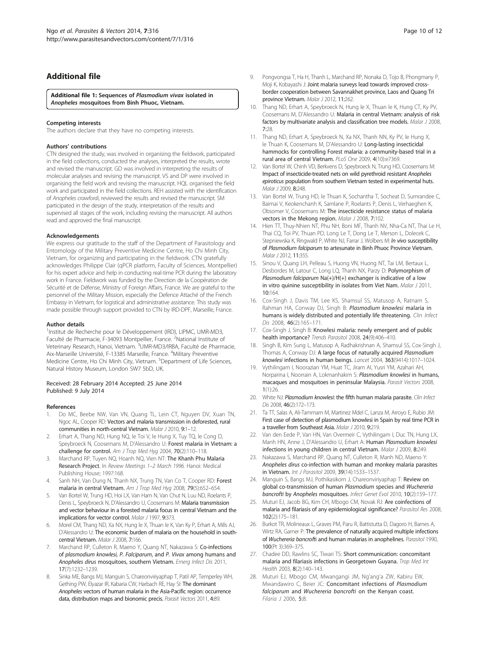# <span id="page-9-0"></span>Additional file

[Additional file 1:](http://www.biomedcentral.com/content/supplementary/1756-3305-7-316-S1.docx) Sequences of Plasmodium vivax isolated in Anopheles mosquitoes from Binh Phuoc, Vietnam.

#### Competing interests

The authors declare that they have no competing interests.

#### Authors' contributions

CTN designed the study, was involved in organising the fieldwork, participated in the field collections, conducted the analyses, interpreted the results, wrote and revised the manuscript. GD was involved in interpreting the results of molecular analyses and revising the manuscript. VS and DP were involved in organising the field work and revising the manuscript. HQL organised the field work and participated in the field collections. REH assisted with the identification of Anopheles crawfordi, reviewed the results and revised the manuscript. SM participated in the design of the study, interpretation of the results and supervised all stages of the work, including revising the manuscript. All authors read and approved the final manuscript.

#### Acknowledgements

We express our gratitude to the staff of the Department of Parasitology and Entomology of the Military Preventive Medicine Centre, Ho Chi Minh City, Vietnam, for organizing and participating in the fieldwork. CTN gratefully acknowledges Philippe Clair (qPCR platform, Faculty of Sciences, Montpellier) for his expert advice and help in conducting real-time PCR during the laboratory work in France. Fieldwork was funded by the Direction de la Coopération de Sécurité et de Défense, Ministry of Foreign Affairs, France. We are grateful to the personnel of the Military Mission, especially the Defence Attaché of the French Embassy in Vietnam, for logistical and administrative assistance. This study was made possible through support provided to CTN by IRD-DPF, Marseille, France.

#### Author details

<sup>1</sup>Institut de Recherche pour le Développement (IRD), LIPMC, UMR-MD3, Faculté de Pharmacie, F-34093 Montpellier, France. <sup>2</sup>National Institute of Veterinary Research, Hanoi, Vietnam. <sup>3</sup>UMR-MD3/IRBA, Faculté de Pharmacie, Aix-Marseille Université, F-13385 Marseille, France. <sup>4</sup>Military Preventive Medicine Centre, Ho Chi Minh City, Vietnam. <sup>5</sup>Department of Life Sciences, Natural History Museum, London SW7 5bD, UK.

#### Received: 28 February 2014 Accepted: 25 June 2014 Published: 9 July 2014

#### References

- Do MC, Beebe NW, Van VN, Quang TL, Lein CT, Nguyen DV, Xuan TN, Ngoc AL, Cooper RD: Vectors and malaria transmission in deforested, rural communities in north-central Vietnam. Malar J 2010, 9:1–12.
- 2. Erhart A, Thang ND, Hung NQ, le Toi V, le Hung X, Tuy TQ, le Cong D, Speybroeck N, Coosemans M, D'Alessandro U: Forest malaria in Vietnam: a challenge for control. Am J Trop Med Hyg 2004, 70(2):110-118.
- 3. Marchand RP, Tuyen NQ, Hoanh NQ, Vien NT: The Khanh Phu Malaria Research Project. In Review Meetings 1–2 March 1996. Hanoi: Medical Publishing House; 1997:168.
- 4. Sanh NH, Van Dung N, Thanh NX, Trung TN, Van Co T, Cooper RD: Forest malaria in central Vietnam. Am J Trop Med Hyg 2008, 79(5):652–654.
- 5. Van Bortel W, Trung HD, Hoi LX, Van Ham N, Van Chut N, Luu ND, Roelants P, Denis L, Speybroeck N, D'Alessandro U, Coosemans M: Malaria transmission and vector behaviour in a forested malaria focus in central Vietnam and the implications for vector control. Malar J 1997, 9:373.
- Morel CM, Thang ND, Xa NX, Hung le X, Thuan le K, Van Ky P, Erhart A, Mills AJ, D'Alessandro U: The economic burden of malaria on the household in southcentral Vietnam. Malar J 2008, 7:166.
- 7. Marchand RP, Culleton R, Maeno Y, Quang NT, Nakazawa S: Co-infections of plasmodium knowlesi, P. Falciparum, and P. Vivax among humans and Anopheles dirus mosquitoes, southern Vietnam. Emerg Infect Dis 2011, 17(7):1232–1239.
- Sinka ME, Bangs MJ, Manguin S, Chareonviriyaphap T, Patil AP, Temperley WH, Gething PW, Elyazar IR, Kabaria CW, Harbach RE, Hay SI: The dominant Anopheles vectors of human malaria in the Asia-Pacific region: occurrence data, distribution maps and bionomic precis. Parasit Vectors 2011, 4:89.
- 9. Pongvongsa T, Ha H, Thanh L, Marchand RP, Nonaka D, Tojo B, Phongmany P, Moji K, Kobayashi J: Joint malaria surveys lead towards improved crossborder cooperation between Savannakhet province, Laos and Quang Tri province Vietnam. Malar J 2012, 11:262.
- 10. Thang ND, Erhart A, Speybroeck N, Hung le X, Thuan le K, Hung CT, Ky PV, Coosemans M, D'Alessandro U: Malaria in central Vietnam: analysis of risk factors by multivariate analysis and classification tree models. Malar J 2008, 7:28.
- 11. Thang ND, Erhart A, Speybroeck N, Xa NX, Thanh NN, Ky PV, le Hung X, le Thuan K, Coosemans M, D'Alessandro U: Long-lasting insecticidal hammocks for controlling Forest malaria: a community-based trial in a rural area of central Vietnam. PLoS One 2009, 4(10):e7369.
- 12. Van Bortel W, Chinh VD, Berkvens D, Speybroeck N, Trung HD, Coosemans M: Impact of insecticide-treated nets on wild pyrethroid resistant Anopheles epiroticus population from southern Vietnam tested in experimental huts. Malar 1 2009 **8:**248
- 13. Van Bortel W, Trung HD, le Thuan K, Sochantha T, Socheat D, Sumrandee C, Baimai V, Keokenchanh K, Samlane P, Roelants P, Denis L, Verhaeghen K, Obsomer V, Coosemans M: The insecticide resistance status of malaria vectors in the Mekong region. Malar J 2008, 7:102.
- 14. Hien TT, Thuy-Nhien NT, Phu NH, Boni MF, Thanh NV, Nha-Ca NT, Thai Le H, Thai CQ, Toi PV, Thuan PD, Long Le T, Dong Le T, Merson L, Dolecek C, Stepniewska K, Ringwald P, White NJ, Farrar J, Wolbers M: In vivo susceptibility of Plasmodium falciparum to artesunate in Binh Phuoc Province Vietnam. Malar J 2012, 11:355.
- 15. Sinou V, Quang LH, Pelleau S, Huong VN, Huong NT, Tai LM, Bertaux L, Desbordes M, Latour C, Long LQ, Thanh NX, Parzy D: Polymorphism of Plasmodium falciparum Na(+)/H(+) exchanger is indicative of a low in vitro quinine susceptibility in isolates from Viet Nam. Malar J 2011, 10:164.
- 16. Cox-Singh J, Davis TM, Lee KS, Shamsul SS, Matusop A, Ratnam S, Rahman HA, Conway DJ, Singh B: Plasmodium knowlesi malaria in humans is widely distributed and potentially life threatening. Clin Infect Dis 2008, 46(2):165–171.
- 17. Cox-Singh J, Singh B: Knowlesi malaria: newly emergent and of public health importance? Trends Parasitol 2008, 24(9):406–410.
- 18. Singh B, Kim Sung L, Matusop A, Radhakrishnan A, Shamsul SS, Cox-Singh J, Thomas A, Conway DJ: A large focus of naturally acquired Plasmodium knowlesi infections in human beings. Lancet 2004, 363(9414):1017–1024.
- 19. Vythilingam I, Noorazian YM, Huat TC, Jiram AI, Yusri YM, Azahari AH, Norparina I, Noorrain A, Lokmanhakim S: Plasmodium knowlesi in humans, macaques and mosquitoes in peninsular Malaysia. Parasit Vectors 2008, 1(1):26.
- 20. White NJ: Plasmodium knowlesi: the fifth human malaria parasite. Clin Infect Dis 2008, 46(2):172–173.
- 21. Ta TT, Salas A, Ali-Tammam M, Martinez Mdel C, Lanza M, Arroyo E, Rubio JM: First case of detection of plasmodium knowlesi in Spain by real time PCR in a traveller from Southeast Asia. Malar J 2010, 9:219.
- 22. Van den Eede P, Van HN, Van Overmeir C, Vythilingam I, Duc TN, Hung LX, Manh HN, Anne J, D'Alessandro U, Erhart A: Human Plasmodium knowlesi infections in young children in central Vietnam. Malar J 2009, 8:249.
- 23. Nakazawa S, Marchand RP, Quang NT, Culleton R, Manh ND, Maeno Y: Anopheles dirus co-infection with human and monkey malaria parasites in Vietnam. Int J Parasitol 2009, 39(14):1533–1537.
- 24. Manguin S, Bangs MJ, Pothikasikorn J, Chareonviriyaphap T: Review on global co-transmission of human Plasmodium species and Wuchereria bancrofti by Anopheles mosquitoes. Infect Genet Evol 2010, 10(2):159-177.
- 25. Muturi EJ, Jacob BG, Kim CH, Mbogo CM, Novak RJ: Are coinfections of malaria and filariasis of any epidemiological significance? Parasitol Res 2008, 102(2):175–181.
- 26. Burkot TR, Molineaux L, Graves PM, Paru R, Battistutta D, Dagoro H, Barnes A, Wirtz RA, Garner P: The prevalence of naturally acquired multiple infections of Wuchereria bancrofti and human malarias in anophelines. Parasitol 1990, 100(Pt 3):369–375.
- 27. Chadee DD, Rawlins SC, Tiwari TS: Short communication: concomitant malaria and filariasis infections in Georgetown Guyana. Trop Med Int Health 2003, 8(2):140–143.
- 28. Muturi EJ, Mbogo CM, Mwangangi JM, Ng'ang'a ZW, Kabiru EW, Mwandawiro C, Beier JC: Concomitant infections of Plasmodium falciparum and Wuchereria bancrofti on the Kenyan coast. Filaria J 2006, 5:8.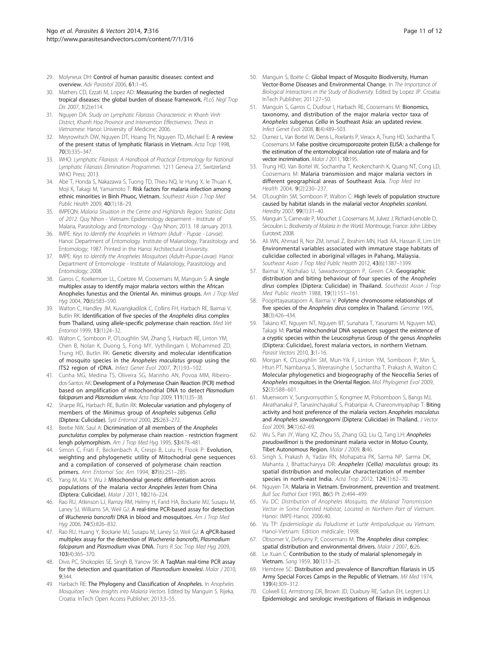- <span id="page-10-0"></span>29. Molyneux DH: Control of human parasitic diseases: context and overview. Adv Parasitol 2006, 61:1–45.
- 30. Mathers CD, Ezzati M, Lopez AD: Measuring the burden of neglected tropical diseases: the global burden of disease framework. PLoS Negl Trop Dis 2007, 1(2):e114.
- 31. Nguyen DA: Study on Lymphatic Filariasis Characteristic in Khanh Vinh District, Khanh Hoa Province and Intervention Effectiveness. Thesis in Vietnamese. Hanoi: University of Medicine; 2006.
- 32. Meyrowitsch DW, Nguyen DT, Hoang TH, Nguyen TD, Michael E: A review of the present status of lymphatic filariasis in Vietnam. Acta Trop 1998, 70(3):335–347.
- 33. WHO: Lymphatic Filariasis: A Handbook of Practical Entomology for National Lymphatic Filariasis Elimination Programmes. 1211 Geneva 27, Switzerland: WHO Press: 2013.
- 34. Abe T, Honda S, Nakazawa S, Tuong TD, Thieu NQ, le Hung X, le Thuan K, Moji K, Takagi M, Yamamoto T: Risk factors for malaria infection among ethnic minorities in Binh Phuoc, Vietnam. Southeast Asian J Trop Med Public Health 2009, 40(1):18–29.
- 35. IMPEQN: Malaria Situation in the Centre and Highlands Region: Statistic Data of 2012. Quy Nhon - Vietnam: Epidemiology deparment - Institute of Malaria, Parasitology and Entomology - Quy Nhon; 2013. 18 January 2013.
- 36. IMPE: Keys to Identify the Anopheles in Vietnam (Adult Pupae Larvae). Hanoi: Department of Entomology. Institute of Malariology, Parasitology and Entomology; 1987. Printed in the Hanoi Architectural University.
- 37. IMPE: Keys to Identify the Anopheles Mosquitoes (Adults-Pupae-Lavae). Hanoi: Department of Entomologie - Institute of Malariology, Parasitology and Entomology; 2008.
- 38. Garros C, Koekemoer LL, Coetzee M, Coosemans M, Manguin S: A single multiplex assay to identify major malaria vectors within the African Anopheles funestus and the Oriental An. minimus groups. Am J Trop Med Hyg 2004, 70(6):583-590.
- 39. Walton C, Handley JM, Kuvangkadilok C, Collins FH, Harbach RE, Baimai V, Butlin RK: Identification of five species of the Anopheles dirus complex from Thailand, using allele-specific polymerase chain reaction. Med Vet Entomol 1999, 13(1):24–32.
- 40. Walton C, Somboon P, O'Loughlin SM, Zhang S, Harbach RE, Linton YM, Chen B, Nolan K, Duong S, Fong MY, Vythilingam I, Mohammed ZD, Trung HD, Butlin RK: Genetic diversity and molecular identification of mosquito species in the Anopheles maculatus group using the ITS2 region of rDNA. Infect Genet Evol 2007, 7(1):93–102.
- 41. Cunha MG, Medina TS, Oliveira SG, Marinho AN, Povoa MM, Ribeirodos-Santos AK: Development of a Polymerase Chain Reaction (PCR) method based on amplification of mitochondrial DNA to detect Plasmodium falciparum and Plasmodium vivax. Acta Trop 2009, 111(1):35–38.
- 42. Sharpe RG, Harbach RE, Butlin RK: Molecular variation and phylogeny of members of the Minimus group of Anopheles subgenus Cellia (Diptera: Culicidae). Syst Entomol 2000, 25:263–272.
- 43. Beebe NW, Saul A: Dicrimination of all members of the Anopheles punctulatus complex by polymerase chain reaction - restriction fragment lengh polymorphism. Am J Trop Med Hyg 1995, 53:478–481.
- 44. Simon C, Frati F, Beckenbach A, Crespi B, Luiu H, Flook P: Evolution, weighting and phylogenetic utility of Mitochodrial gene sequences and a compilation of conserved of polymerase chain reaction primers. Ann Entomol Soc Am 1994, 87(6):251–285.
- 45. Yang M, Ma Y, Wu J: Mitochondrial genetic differentiation across populations of the malaria vector Anopheles lesteri from China (Diptera: Culicidae). Malar J 2011, 10:216–224.
- 46. Rao RU, Atkinson LJ, Ramzy RM, Helmy H, Farid HA, Bockarie MJ, Susapu M, Laney SJ, Williams SA, Weil GJ: A real-time PCR-based assay for detection of Wuchereria bancrofti DNA in blood and mosquitoes. Am J Trop Med Hyg 2006, 74(5):826–832.
- 47. Rao RU, Huang Y, Bockarie MJ, Susapu M, Laney SJ, Weil GJ: A qPCR-based multiplex assay for the detection of Wuchereria bancrofti, Plasmodium falciparum and Plasmodium vivax DNA. Trans R Soc Trop Med Hyg 2009, 103(4):365–370.
- 48. Divis PC, Shokoples SE, Singh B, Yanow SK: A TaqMan real-time PCR assay for the detection and quantitation of Plasmodium knowlesi. Malar J 2010, 9:344.
- 49. Harbach RE: The Phylogeny and Classification of Anopheles. In Anopheles Mosquitoes - New Insights into Malaria Vectors. Edited by Manguin S. Rijeka, Croatia: InTech Open Access Publisher; 2013:3–55.
- 50. Manguin S, Boëte C: Global Impact of Mosquito Biodiversity, Human Vector-Borne Diseases and Environmental Change. In The Importance of Biological Interactions in the Study of Biodiversity. Edited by Lopez JP. Croatia: InTech Publisher; 2011:27–50.
- 51. Manguin S, Garros C, Dusfour I, Harbach RE, Coosemans M: Bionomics, taxonomy, and distribution of the major malaria vector taxa of Anopheles subgenus Cellia in Southeast Asia: an updated review. Infect Genet Evol 2008, 8(4):489–503.
- 52. Durnez L, Van Bortel W, Denis L, Roelants P, Veracx A, Trung HD, Sochantha T, Coosemans M: False positive circumsporozoite protein ELISA: a challenge for the estimation of the entomological inoculation rate of malaria and for vector incrimination. Malar J 2011, 10:195.
- 53. Trung HD, Van Bortel W, Sochantha T, Keokenchanh K, Quang NT, Cong LD, Coosemans M: Malaria transmission and major malaria vectors in different geographical areas of Southeast Asia. Trop Med Int Health 2004, 9(2):230–237.
- 54. O'Loughlin SM, Somboon P, Walton C: High levels of population structure caused by habitat islands in the malarial vector Anopheles scanloni. Heredity 2007, 99(1):31–40.
- 55. Manguin S, Carnevale P, Mouchet J, Coosemans M, Julvez J, Richard-Lenoble D, Sircoulon L: Biodiversity of Malaria in the World. Montrouge, France: John Libbey Eurotext; 2008.
- 56. Ali WN, Ahmad R, Nor ZM, Ismail Z, Ibrahim MN, Hadi AA, Hassan R, Lim LH: Environmental variables associated with immature stage habitats of culicidae collected in aboriginal villages in Pahang, Malaysia. Southeast Asian J Trop Med Public Health 2012, 43(6):1387–1399.
- 57. Baimai V, Kijchalao U, Sawadwongporn P, Green CA: Geographic distribution and biting behaviour of four species of the Anopheles dirus complex (Diptera: Culicidae) in Thailand. Southeast Asian J Trop Med Public Health 1988, 19(1):151–161.
- 58. Poopittayasataporn A, Baimai V: Polytene chromosome relationships of five species of the Anopheles dirus complex in Thailand. Genome 1995, 38(3):426–434.
- 59. Takano KT, Nguyen NT, Nguyen BT, Sunahara T, Yasunami M, Nguyen MD, Takagi M: Partial mitochondrial DNA sequences suggest the existence of a cryptic species within the Leucosphyrus Group of the genus Anopheles (Diptera: Culicidae), forest malaria vectors, in northern Vietnam. Parasit Vectors 2010, 3:1-16.
- 60. Morgan K, O'Loughlin SM, Mun-Yik F, Linton YM, Somboon P, Min S, Htun PT, Nambanya S, Weerasinghe I, Sochantha T, Prakash A, Walton C: Molecular phylogenetics and biogeography of the Neocellia Series of Anopheles mosquitoes in the Oriental Region. Mol Phylogenet Evol 2009, 52(3):588–601.
- 61. Muenworn V, Sungvornyothin S, Kongmee M, Polsomboon S, Bangs MJ, Akrathanakul P, Tanasinchayakul S, Prabaripai A, Chareonviriyaphap T: Biting activity and host preference of the malaria vectors Anopheles maculatus and Anopheles sawadwongporni (Diptera: Culicidae) in Thailand. J Vector Ecol 2009, 34(1):62–69.
- 62. Wu S, Pan JY, Wang XZ, Zhou SS, Zhang GQ, Liu Q, Tang LH: Anopheles pseudowillmori is the predominant malaria vector in Motuo County, Tibet Autonomous Region. Malar J 2009, 8:46.
- 63. Singh S, Prakash A, Yadav RN, Mohapatra PK, Sarma NP, Sarma DK, Mahanta J, Bhattacharyya DR: Anopheles (Cellia) maculatus group: its spatial distribution and molecular characterization of member species in north-east India. Acta Trop 2012, 124(1):62-70.
- 64. Nguyen TA: Malaria in Vietnam. Environment, prevention and treatment. Bull Soc Pathol Exot 1993, 86(5 Pt 2):494–499.
- 65. Vu DC: Distribution of Anopheles Mosquito, the Malarial Transmission Vector in Some Forested Habitat, Located in Northern Part of Vietnam. Hanoi: IMPE-Hanoi; 2006:40.
- 66. Vu TP: Epidemiologie du Paludisme et Lutte Antipaludique au Vietnam. Hanoï-Vietnam: Edition médicale; 1998.
- 67. Obsomer V, Defourny P, Coosemans M: The Anopheles dirus complex: spatial distribution and environmental drivers. Malar J 2007, 6:26.
- 68. Le Xuan C: Contribution to the study of malarial splenomegaly in Vietnam. Sang 1959, 30(1):13–25.
- 69. Hembree SC: Distribution and prevalence of Bancroftian filariasis in US Army Special Forces Camps in the Republic of Vietnam. Mil Med 1974, 139(4):309–312.
- 70. Colwell EJ, Armstrong DR, Brown JD, Duxbury RE, Sadun EH, Legters LJ: Epidemiologic and serologic investigations of filariasis in indigenous